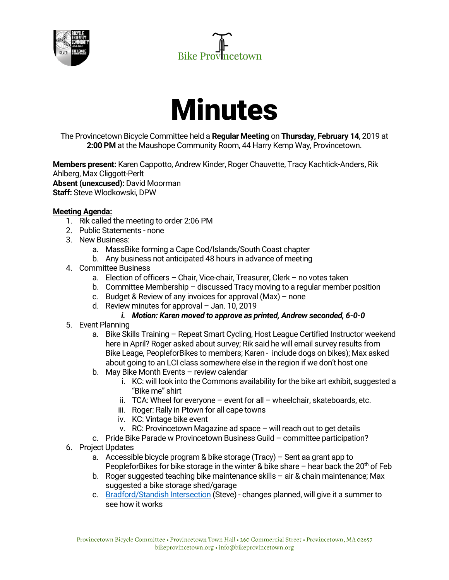





The Provincetown Bicycle Committee held a **Regular Meeting** on **Thursday, February 14**, 2019 at **2:00 PM** at the Maushope Community Room, 44 Harry Kemp Way, Provincetown.

**Members present:** Karen Cappotto, Andrew Kinder, Roger Chauvette, Tracy Kachtick-Anders, Rik Ahlberg, Max Cliggott-Perlt **Absent (unexcused):** David Moorman **Staff:** Steve Wlodkowski, DPW

## **Meeting Agenda:**

- 1. Rik called the meeting to order 2:06 PM
- 2. Public Statements none
- 3. New Business:
	- a. MassBike forming a Cape Cod/Islands/South Coast chapter
	- b. Any business not anticipated 48 hours in advance of meeting
- 4. Committee Business
	- a. Election of officers Chair, Vice-chair, Treasurer, Clerk no votes taken
	- b. Committee Membership discussed Tracy moving to a regular member position
	- c. Budget & Review of any invoices for approval (Max) none
	- d. Review minutes for approval Jan. 10, 2019
		- *i. Motion: Karen moved to approve as printed, Andrew seconded, 6-0-0*
- 5. Event Planning
	- a. Bike Skills Training Repeat Smart Cycling, Host League Certified Instructor weekend here in April? Roger asked about survey; Rik said he will email survey results from Bike Leage, PeopleforBikes to members; Karen - include dogs on bikes); Max asked about going to an LCI class somewhere else in the region if we don't host one
	- b. May Bike Month Events review calendar
		- i. KC: will look into the Commons availability for the bike art exhibit, suggested a "Bike me" shirt
		- ii. TCA: Wheel for everyone event for all wheelchair, skateboards, etc.
		- iii. Roger: Rally in Ptown for all cape towns
		- iv. KC: Vintage bike event
		- v. RC: Provincetown Magazine ad space will reach out to get details
	- c. Pride Bike Parade w Provincetown Business Guild committee participation?
- 6. Project Updates
	- a. Accessible bicycle program & bike storage (Tracy) Sent aa grant app to PeopleforBikes for bike storage in the winter & bike share – hear back the  $20<sup>th</sup>$  of Feb
	- b. Roger suggested teaching bike maintenance skills air & chain maintenance; Max suggested a bike storage shed/garage
	- c. Bradford/Standish Intersection (Steve) changes planned, will give it a summer to see how it works